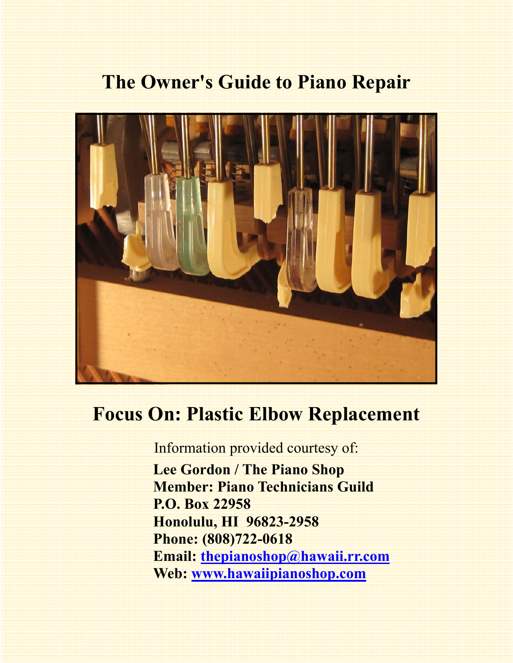# **The Owner's Guide to Piano Repair**



## **Focus On: Plastic Elbow Replacement**

Information provided courtesy of:  **Lee Gordon / The Piano Shop Member: Piano Technicians Guild P.O. Box 22958 Honolulu, HI 96823-2958 Phone: (808)722-0618 Email: thepianoshop@hawaii.rr.com Web: www.hawaiipianoshop.com**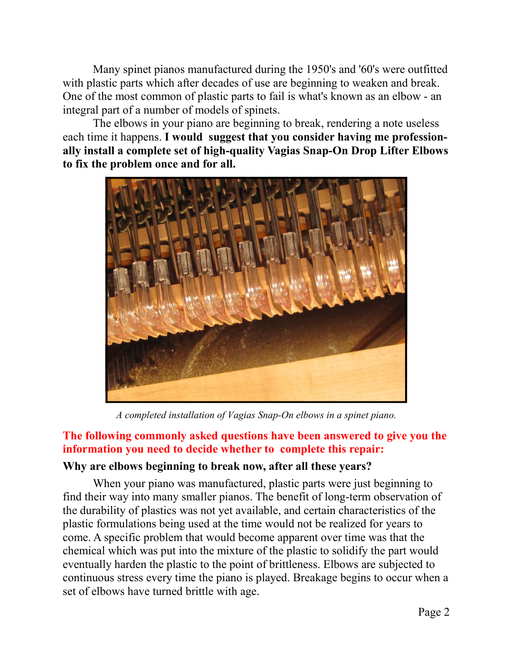Many spinet pianos manufactured during the 1950's and '60's were outfitted with plastic parts which after decades of use are beginning to weaken and break. One of the most common of plastic parts to fail is what's known as an elbow - an integral part of a number of models of spinets.

 The elbows in your piano are beginning to break, rendering a note useless each time it happens. **I would suggest that you consider having me professionally install a complete set of high-quality Vagias Snap-On Drop Lifter Elbows to fix the problem once and for all.** 



*A completed installation of Vagias Snap-On elbows in a spinet piano.* 

#### **The following commonly asked questions have been answered to give you the information you need to decide whether to complete this repair:**

#### **Why are elbows beginning to break now, after all these years?**

When your piano was manufactured, plastic parts were just beginning to find their way into many smaller pianos. The benefit of long-term observation of the durability of plastics was not yet available, and certain characteristics of the plastic formulations being used at the time would not be realized for years to come. A specific problem that would become apparent over time was that the chemical which was put into the mixture of the plastic to solidify the part would eventually harden the plastic to the point of brittleness. Elbows are subjected to continuous stress every time the piano is played. Breakage begins to occur when a set of elbows have turned brittle with age.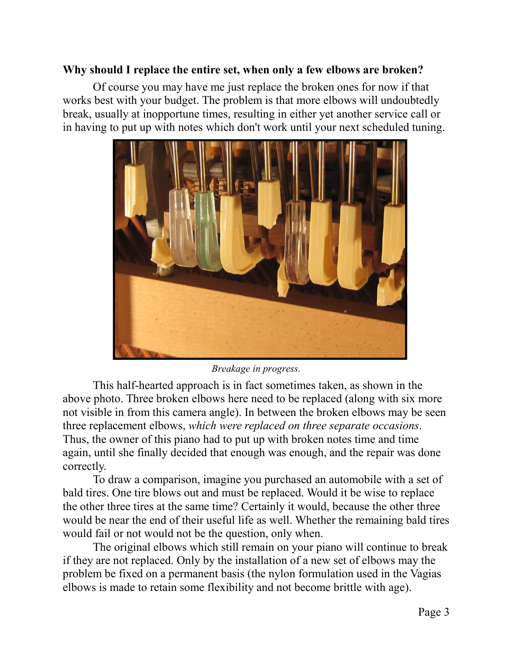#### **Why should I replace the entire set, when only a few elbows are broken?**

 Of course you may have me just replace the broken ones for now if that works best with your budget. The problem is that more elbows will undoubtedly break, usually at inopportune times, resulting in either yet another service call or in having to put up with notes which don't work until your next scheduled tuning.



#### *Breakage in progress.*

 This half-hearted approach is in fact sometimes taken, as shown in the above photo. Three broken elbows here need to be replaced (along with six more not visible in from this camera angle). In between the broken elbows may be seen three replacement elbows, *which were replaced on three separate occasions*. Thus, the owner of this piano had to put up with broken notes time and time again, until she finally decided that enough was enough, and the repair was done correctly.

 To draw a comparison, imagine you purchased an automobile with a set of bald tires. One tire blows out and must be replaced. Would it be wise to replace the other three tires at the same time? Certainly it would, because the other three would be near the end of their useful life as well. Whether the remaining bald tires would fail or not would not be the question, only when.

 The original elbows which still remain on your piano will continue to break if they are not replaced. Only by the installation of a new set of elbows may the problem be fixed on a permanent basis (the nylon formulation used in the Vagias elbows is made to retain some flexibility and not become brittle with age).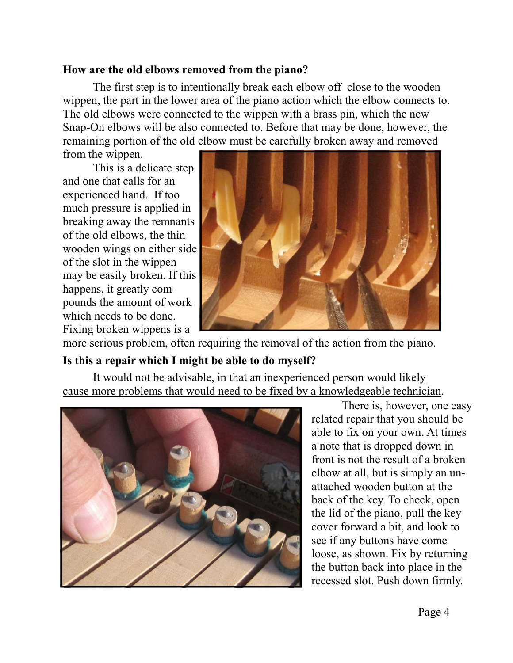#### **How are the old elbows removed from the piano?**

The first step is to intentionally break each elbow off close to the wooden wippen, the part in the lower area of the piano action which the elbow connects to. The old elbows were connected to the wippen with a brass pin, which the new Snap-On elbows will be also connected to. Before that may be done, however, the remaining portion of the old elbow must be carefully broken away and removed

from the wippen.

 This is a delicate step and one that calls for an experienced hand. If too much pressure is applied in breaking away the remnants of the old elbows, the thin wooden wings on either side of the slot in the wippen may be easily broken. If this happens, it greatly compounds the amount of work which needs to be done. Fixing broken wippens is a



more serious problem, often requiring the removal of the action from the piano.

#### **Is this a repair which I might be able to do myself?**

 It would not be advisable, in that an inexperienced person would likely cause more problems that would need to be fixed by a knowledgeable technician.



 There is, however, one easy related repair that you should be able to fix on your own. At times a note that is dropped down in front is not the result of a broken elbow at all, but is simply an unattached wooden button at the back of the key. To check, open the lid of the piano, pull the key cover forward a bit, and look to see if any buttons have come loose, as shown. Fix by returning the button back into place in the recessed slot. Push down firmly.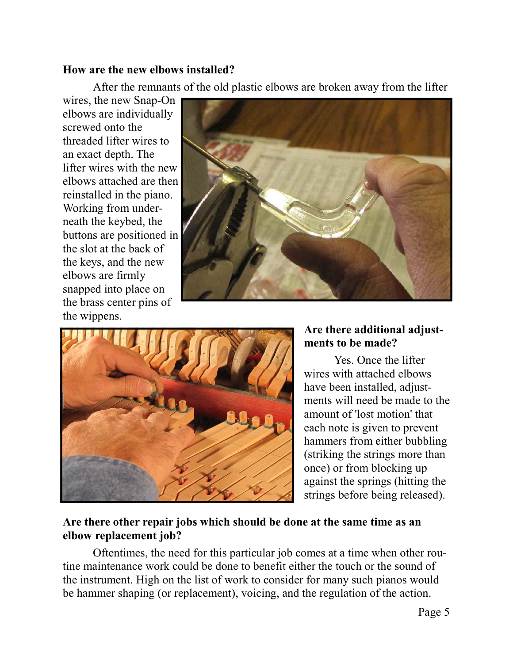#### **How are the new elbows installed?**

After the remnants of the old plastic elbows are broken away from the lifter

wires, the new Snap-On elbows are individually screwed onto the threaded lifter wires to an exact depth. The lifter wires with the new elbows attached are then reinstalled in the piano. Working from underneath the keybed, the buttons are positioned in the slot at the back of the keys, and the new elbows are firmly snapped into place on the brass center pins of the wippens.





#### **Are there additional adjustments to be made?**

Yes. Once the lifter wires with attached elbows have been installed, adjustments will need be made to the amount of 'lost motion' that each note is given to prevent hammers from either bubbling (striking the strings more than once) or from blocking up against the springs (hitting the strings before being released).

#### **Are there other repair jobs which should be done at the same time as an elbow replacement job?**

 Oftentimes, the need for this particular job comes at a time when other routine maintenance work could be done to benefit either the touch or the sound of the instrument. High on the list of work to consider for many such pianos would be hammer shaping (or replacement), voicing, and the regulation of the action.